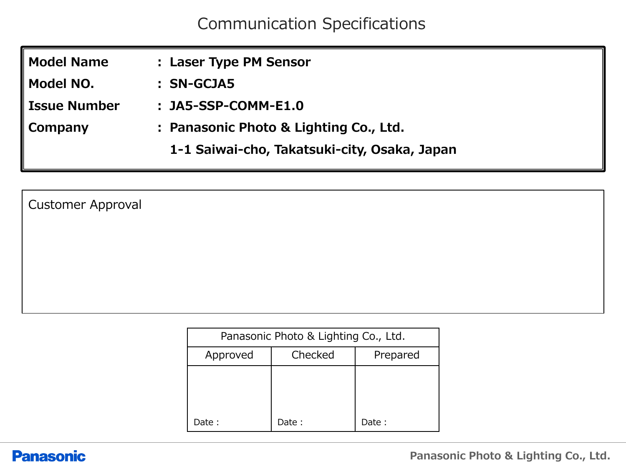Communication Specifications

| Model Name            | : Laser Type PM Sensor                       |
|-----------------------|----------------------------------------------|
| Model NO.             | : SN-GCJA5                                   |
| <b>S</b> Issue Number | : JA5-SSP-COMM-E1.0                          |
| $\parallel$ Company   | : Panasonic Photo & Lighting Co., Ltd.       |
|                       | 1-1 Saiwai-cho, Takatsuki-city, Osaka, Japan |

Customer Approval

| Panasonic Photo & Lighting Co., Ltd. |         |          |  |  |  |  |
|--------------------------------------|---------|----------|--|--|--|--|
| Approved                             | Checked | Prepared |  |  |  |  |
|                                      |         |          |  |  |  |  |
|                                      |         |          |  |  |  |  |
| Date:                                | Date:   | Date :   |  |  |  |  |

### **Panasonic**

**Panasonic Photo & Lighting Co., Ltd.**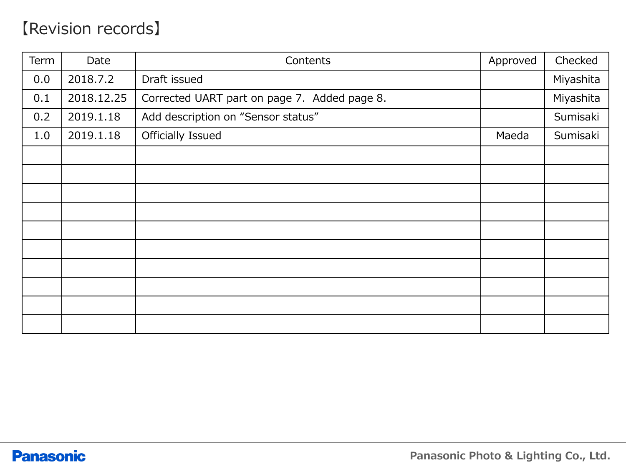# 【Revision records】

| Term | Date       | Contents                                     | Approved | Checked   |
|------|------------|----------------------------------------------|----------|-----------|
| 0.0  | 2018.7.2   | Draft issued                                 |          | Miyashita |
| 0.1  | 2018.12.25 | Corrected UART part on page 7. Added page 8. |          | Miyashita |
| 0.2  | 2019.1.18  | Add description on "Sensor status"           |          | Sumisaki  |
| 1.0  | 2019.1.18  | Officially Issued                            | Maeda    | Sumisaki  |
|      |            |                                              |          |           |
|      |            |                                              |          |           |
|      |            |                                              |          |           |
|      |            |                                              |          |           |
|      |            |                                              |          |           |
|      |            |                                              |          |           |
|      |            |                                              |          |           |
|      |            |                                              |          |           |
|      |            |                                              |          |           |
|      |            |                                              |          |           |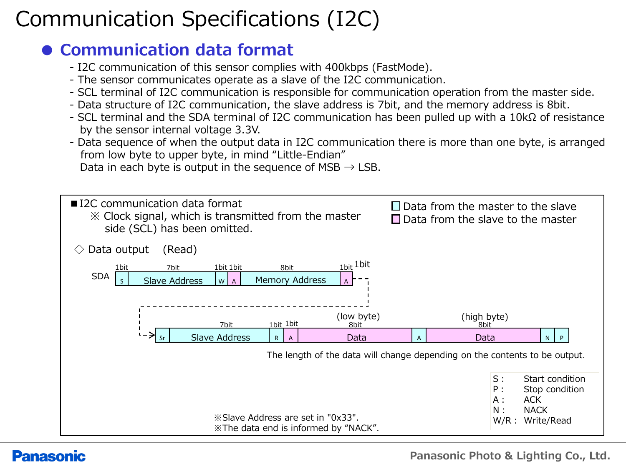# Communication Specifications (I2C)

# **● Communication data format**

- I2C communication of this sensor complies with 400kbps (FastMode).
- The sensor communicates operate as a slave of the I2C communication.
- SCL terminal of I2C communication is responsible for communication operation from the master side.
- Data structure of I2C communication, the slave address is 7bit, and the memory address is 8bit.
- SCL terminal and the SDA terminal of I2C communication has been pulled up with a 10kΩ of resistance by the sensor internal voltage 3.3V.
- Data sequence of when the output data in I2C communication there is more than one byte, is arranged from low byte to upper byte, in mind "Little-Endian"

Data in each byte is output in the sequence of MSB  $\rightarrow$  LSB.



## **Panasonic**

#### **Panasonic Photo & Lighting Co., Ltd.**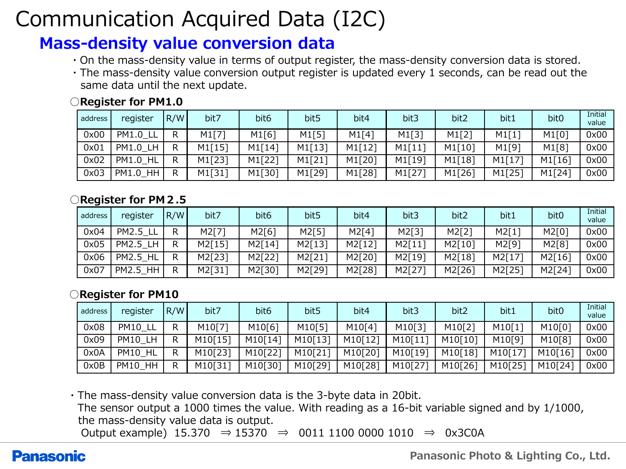# Communication Acquired Data (I2C)

## **Mass-density value conversion data**

- ・On the mass-density value in terms of output register, the mass-density conversion data is stored.
- ・The mass-density value conversion output register is updated every 1 seconds, can be read out the same data until the next update.

| address | register        | R/W | bit7   | bit6   | bit5   | bit4   | bit3   | bit2   | bit1   | bit <sub>0</sub> | Initial<br>value |
|---------|-----------------|-----|--------|--------|--------|--------|--------|--------|--------|------------------|------------------|
| 0x00    | <b>PM1.0 LL</b> | D   | M1[7]  | M1[6]  | M1[5]  | M1[4]  | M1[3]  | M1[2]  | M1[1]  | M1[0]            | 0x00             |
| 0x01    | <b>PM1.0 LH</b> |     | M1[15] | M1[14] | M1[13] | M1[12] | M1[11] | M1[10] | M1[9]  | M1[8]            | 0x00             |
| 0x02    | HL<br>PM1.0     | D.  | M1[23] | M1[22] | M1[21] | M1[20] | M1[19] | M1[18] | M1[17] | M1[16]           | 0x00             |
| 0x03    | HH<br>PM1.0     | D   | M1[31] | M1[30] | M1[29] | M1[28] | M1[27] | M1[26] | M1[25] | M1[24]           | 0x00             |

#### **○Register for PM1.0**

#### **○Register for PM2.5**

| address | register        | R/W | bit7   | bit6   | bit5   | bit4   | bit3   | bit2   | bit1   | bit <sub>0</sub> | Initial<br>value |
|---------|-----------------|-----|--------|--------|--------|--------|--------|--------|--------|------------------|------------------|
| 0x04    | <b>PM2.5 LL</b> | D   | M2[7]  | M2[6]  | M2[5]  | M2[4]  | M2[3]  | M2[2]  | M2[1]  | M2[0]            | 0x00             |
| 0x05    | <b>PM2.5 LH</b> | D   | M2[15] | M2[14] | M2[13] | M2[12] | M2[11] | M2[10] | M2[9]  | M2[8]            | 0x00             |
| 0x06    | <b>PM2.5 HL</b> | D   | M2[23] | M2[22] | M2[21] | M2[20] | M2[19] | M2[18] | M2[17] | M2[16]           | 0x00             |
| 0x07    | HH<br>PM2.5     | D   | M2[31] | M2[30] | M2[29] | M2[28] | M2[27] | M2[26] | M2[25] | M2[24]           | 0x00             |

#### **○Register for PM10**

| address | register          | R/W | bit7    | bit6    | bit5    | bit4    | bit3    | bit2    | bit1    | bit <sub>0</sub> | Initial<br>value |
|---------|-------------------|-----|---------|---------|---------|---------|---------|---------|---------|------------------|------------------|
| 0x08    | PM10 LL           | R   | M10[7]  | M10[6]  | M10[5]  | M10[4]  | M10[3]  | M10[2]  | M10[1]  | M10[0]           | 0x00             |
| 0x09    | PM10 LH           | R   | M10[15] | M10[14] | M10[13] | M10[12] | M10[11] | M10[10] | M10[9]  | M10[8]           | 0x00             |
| 0x0A    | PM10 HL           | R   | M10[23] | M10[22] | M10[21] | M10[20] | M10[19] | M10[18] | M10[17] | M10[16]          | 0x00             |
| 0x0B    | <b>PM10</b><br>HH | R   | M10[31] | M10[30] | M10[29] | M10[28] | M10[27] | M10[26] | M10[25] | M10[24]          | 0x00             |

・The mass-density value conversion data is the 3-byte data in 20bit.

The sensor output a 1000 times the value. With reading as a 16-bit variable signed and by 1/1000, the mass-density value data is output.

Output example) 15.370  $\Rightarrow$  15370  $\Rightarrow$  0011 1100 0000 1010  $\Rightarrow$  0x3C0A

### **Panasonic**

**Panasonic Photo & Lighting Co., Ltd.**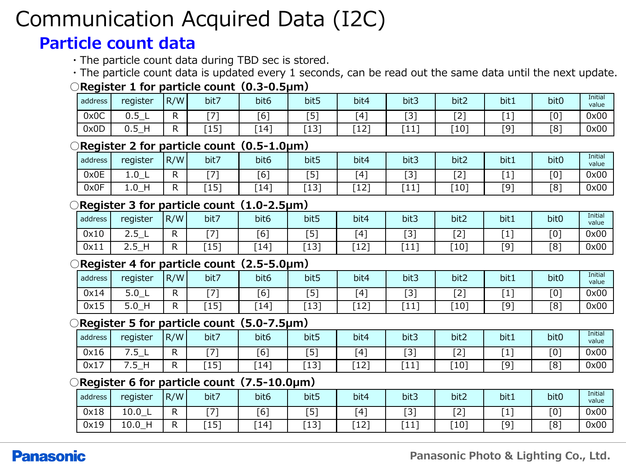# Communication Acquired Data (I2C)

## **Particle count data**

- ・The particle count data during TBD sec is stored.
- ・The particle count data is updated every 1 seconds, can be read out the same data until the next update.

#### **○Register 1 for particle count(0.3-0.5μm)**

| address                                              | register           | R/W          | bit7                                        | bit <sub>6</sub> | bit5             | bit4   | bit <sub>3</sub> | bit2               | bit1  | bit <sub>0</sub> | Initial<br>value |
|------------------------------------------------------|--------------------|--------------|---------------------------------------------|------------------|------------------|--------|------------------|--------------------|-------|------------------|------------------|
| 0x0C                                                 | $0.5$ _L           | $\mathsf{R}$ | $[7]$                                       | [6]              | $[5]$            | [4]    | $[3]$            | $[2]$              | $[1]$ | [0]              | 0x00             |
| 0x0D                                                 | $0.5$ _H           | $\mathsf{R}$ | $[15]$                                      | [14]             | $[13]$           | $[12]$ | $[11]$           | $[10]$             | [9]   | [8]              | 0x00             |
| Register 2 for particle count (0.5-1.0µm)            |                    |              |                                             |                  |                  |        |                  |                    |       |                  |                  |
| address                                              | register           | R/W          | bit7                                        | bit <sub>6</sub> | bit5             | bit4   | bit3             | bit2               | bit1  | bit <sub>0</sub> | Initial<br>value |
| 0x0E                                                 | 1.0 <sub>L</sub>   | R.           | $[7]$                                       | [6]              | $[5]$            | [4]    | $[3]$            | $[2]$              | $[1]$ | [0]              | 0x00             |
| 0x0F                                                 | $1.0$ <sup>H</sup> | $\mathsf{R}$ | $[15]$                                      | $[14]$           | $[13]$           | $[12]$ | $[11]$           | $[10]$             | $[9]$ | [8]              | 0x00             |
| $\bigcirc$ Register 3 for particle count (1.0-2.5µm) |                    |              |                                             |                  |                  |        |                  |                    |       |                  |                  |
| address                                              | register           | R/W          | bit7                                        | bit <sub>6</sub> | bit5             | bit4   | bit3             | bit2               | bit1  | bit <sub>0</sub> | Initial<br>value |
| 0x10                                                 | $2.5-L$            | $\mathsf{R}$ | $[7]$                                       | [6]              | [5]              | [4]    | $[3]$            | $[2]$              | $[1]$ | [0]              | 0x00             |
| 0x11                                                 | $2.5$ _H           | R.           | $[15]$                                      | $[14]$           | $[13]$           | $[12]$ | $[11]$           | $[10]$             | [9]   | [8]              | 0x00             |
|                                                      |                    |              | Register 4 for particle count (2.5-5.0µm)   |                  |                  |        |                  |                    |       |                  |                  |
| address                                              | register           | R/W          | bit7                                        | bit <sub>6</sub> | bit <sub>5</sub> | bit4   | bit3             | bit2               | bit1  | bit <sub>0</sub> | Initial<br>value |
| 0x14                                                 | 5.0 <sub>L</sub>   | $\mathsf{R}$ | $[7]$                                       | [6]              | $[5]$            | [4]    | $[3]$            | $[2]$              | $[1]$ | [0]              | 0x00             |
| 0x15                                                 | $5.0$ _H           | R.           | $[15]$                                      | $[14]$           | $[13]$           | $[12]$ | $[11]$           | $\lceil 10 \rceil$ | $[9]$ | [8]              | 0x00             |
|                                                      |                    |              | ○Register 5 for particle count (5.0-7.5µm)  |                  |                  |        |                  |                    |       |                  |                  |
| address                                              | register           | R/W          | bit7                                        | bit <sub>6</sub> | bit5             | bit4   | bit3             | bit2               | bit1  | bit <sub>0</sub> | Initial<br>value |
| 0x16                                                 | $7.5$ _L           | $\mathsf{R}$ | $[7]$                                       | [6]              | [5]              | [4]    | $[3]$            | $[2]$              | $[1]$ | [0]              | 0x00             |
| 0x17                                                 | $7.5$ _H           | $\mathsf{R}$ | $[15]$                                      | $[14]$           | $[13]$           | $[12]$ | $[11]$           | [10]               | [9]   | [8]              | 0x00             |
|                                                      |                    |              | ORegister 6 for particle count (7.5-10.0um) |                  |                  |        |                  |                    |       |                  |                  |
| address                                              | register           | R/W          | bit7                                        | bit <sub>6</sub> | bit5             | bit4   | bit3             | bit2               | bit1  | bit <sub>0</sub> | Initial<br>value |
| 0x18                                                 | 10.0 L             | $\mathsf{R}$ | $\overline{[7]}$                            | [6]              | $[5]$            | $[4]$  | $[3]$            | $[2]$              | $[1]$ | [0]              | 0x00             |
| 0x19                                                 | 10.0 H             | $\mathsf{R}$ | $\overline{[15]}$                           | $[14]$           | $[13]$           | $[12]$ | $[11]$           | [10]               | [9]   | [8]              | 0x00             |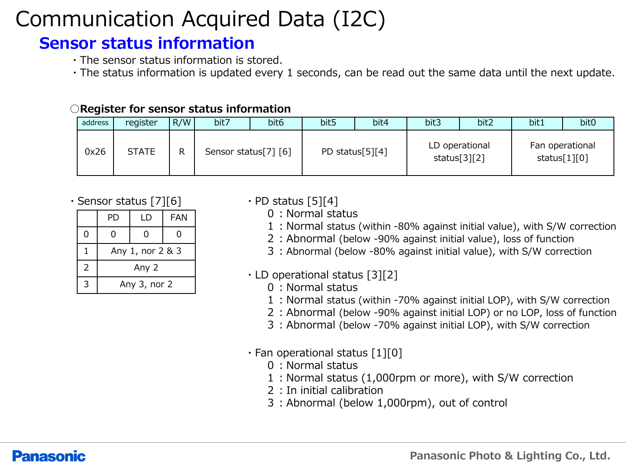# Communication Acquired Data (I2C)

## **Sensor status information**

- ・The sensor status information is stored.
- ・The status information is updated every 1 seconds, can be read out the same data until the next update.

#### **○Register for sensor status information**

| address | register     | R/W | bit7                 | bit6 | bit5               | bit4 | bit3                 | bit2           | bit1            | bit <sub>0</sub> |
|---------|--------------|-----|----------------------|------|--------------------|------|----------------------|----------------|-----------------|------------------|
| 0x26    | <b>STATE</b> | D   | Sensor status[7] [6] |      | PD status $[5][4]$ |      | status[ $3$ ][ $2$ ] | LD operational | status $[1][0]$ | Fan operational  |

・Sensor status [7][6]

|   | PD               | LD           | <b>FAN</b> |  |  |
|---|------------------|--------------|------------|--|--|
| 0 | U                | N            | U          |  |  |
|   | Any 1, nor 2 & 3 |              |            |  |  |
| 2 |                  | Any 2        |            |  |  |
| 3 |                  | Any 3, nor 2 |            |  |  |

- $\cdot$  PD status [5][4]
	- 0:Normal status
	- 1:Normal status (within -80% against initial value), with S/W correction
	- 2:Abnormal (below -90% against initial value), loss of function
	- 3:Abnormal (below -80% against initial value), with S/W correction
- ・LD operational status [3][2]
	- 0:Normal status
	- 1:Normal status (within -70% against initial LOP), with S/W correction
	- 2:Abnormal (below -90% against initial LOP) or no LOP, loss of function
	- 3:Abnormal (below -70% against initial LOP), with S/W correction
- ・Fan operational status [1][0]
	- 0:Normal status
	- 1:Normal status (1,000rpm or more), with S/W correction
	- 2:In initial calibration
	- 3:Abnormal (below 1,000rpm), out of control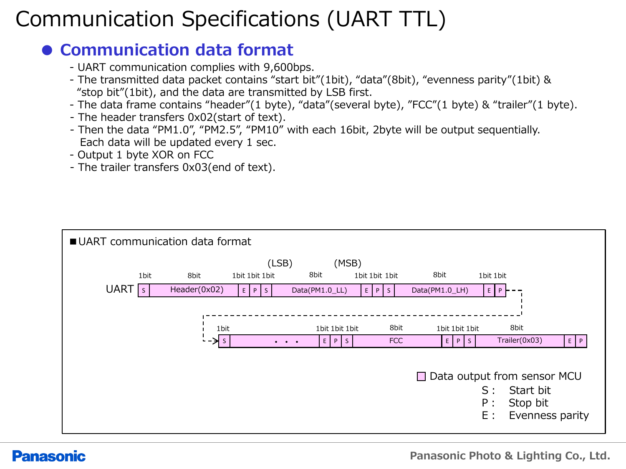# Communication Specifications (UART TTL)

## **● Communication data format**

- UART communication complies with 9,600bps.
- The transmitted data packet contains "start bit"(1bit), "data"(8bit), "evenness parity"(1bit) & "stop bit"(1bit), and the data are transmitted by LSB first.
- The data frame contains "header"(1 byte), "data"(several byte), "FCC"(1 byte) & "trailer"(1 byte).
- The header transfers 0x02(start of text).
- Then the data "PM1.0", "PM2.5", "PM10" with each 16bit, 2byte will be output sequentially. Each data will be updated every 1 sec.
- Output 1 byte XOR on FCC
- The trailer transfers 0x03(end of text).